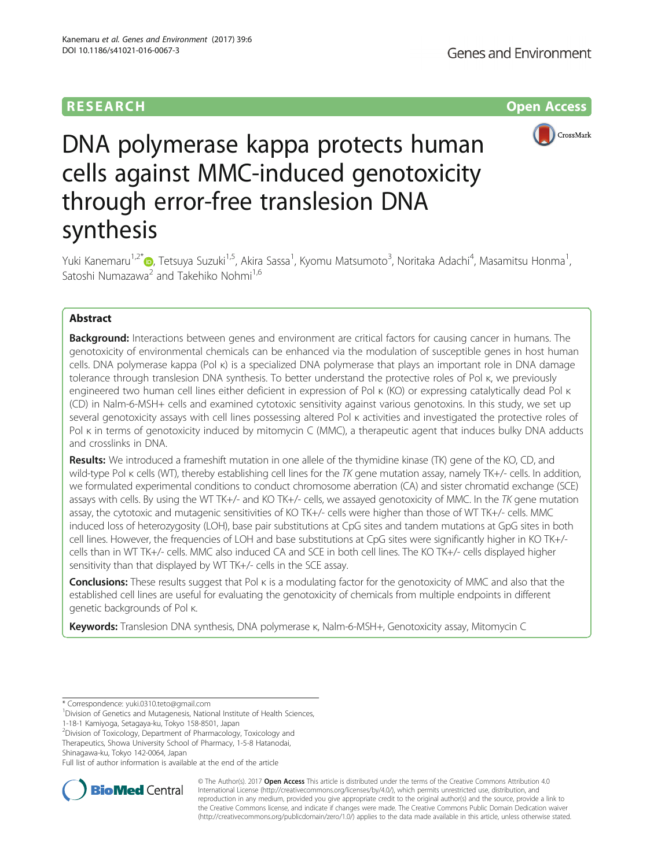## **RESEARCH CHILD CONTROL** CONTROL CONTROL CONTROL CONTROL CONTROL CONTROL CONTROL CONTROL CONTROL CONTROL CONTROL CONTROL CONTROL CONTROL CONTROL CONTROL CONTROL CONTROL CONTROL CONTROL CONTROL CONTROL CONTROL CONTROL CONTR



# DNA polymerase kappa protects human cells against MMC-induced genotoxicity through error-free translesion DNA synthesis

Yuki Kanemaru<sup>1[,](http://orcid.org/0000-0001-9934-9488)2\*</sup>@, Tetsuya Suzuki<sup>1,5</sup>, Akira Sassa<sup>1</sup>, Kyomu Matsumoto<sup>3</sup>, Noritaka Adachi<sup>4</sup>, Masamitsu Honma<sup>1</sup> , Satoshi Numazawa<sup>2</sup> and Takehiko Nohmi<sup>1,6</sup>

## Abstract

**Background:** Interactions between genes and environment are critical factors for causing cancer in humans. The genotoxicity of environmental chemicals can be enhanced via the modulation of susceptible genes in host human cells. DNA polymerase kappa (Pol κ) is a specialized DNA polymerase that plays an important role in DNA damage tolerance through translesion DNA synthesis. To better understand the protective roles of Pol κ, we previously engineered two human cell lines either deficient in expression of Pol κ (KO) or expressing catalytically dead Pol κ (CD) in Nalm-6-MSH+ cells and examined cytotoxic sensitivity against various genotoxins. In this study, we set up several genotoxicity assays with cell lines possessing altered Pol κ activities and investigated the protective roles of Pol κ in terms of genotoxicity induced by mitomycin C (MMC), a therapeutic agent that induces bulky DNA adducts and crosslinks in DNA.

Results: We introduced a frameshift mutation in one allele of the thymidine kinase (TK) gene of the KO, CD, and wild-type Pol κ cells (WT), thereby establishing cell lines for the TK gene mutation assay, namely TK+/- cells. In addition, we formulated experimental conditions to conduct chromosome aberration (CA) and sister chromatid exchange (SCE) assays with cells. By using the WT TK+/- and KO TK+/- cells, we assayed genotoxicity of MMC. In the TK gene mutation assay, the cytotoxic and mutagenic sensitivities of KO TK+/- cells were higher than those of WT TK+/- cells. MMC induced loss of heterozygosity (LOH), base pair substitutions at CpG sites and tandem mutations at GpG sites in both cell lines. However, the frequencies of LOH and base substitutions at CpG sites were significantly higher in KO TK+/ cells than in WT TK+/- cells. MMC also induced CA and SCE in both cell lines. The KO TK+/- cells displayed higher sensitivity than that displayed by WT TK+/- cells in the SCE assay.

Conclusions: These results suggest that Pol κ is a modulating factor for the genotoxicity of MMC and also that the established cell lines are useful for evaluating the genotoxicity of chemicals from multiple endpoints in different genetic backgrounds of Pol κ.

Keywords: Translesion DNA synthesis, DNA polymerase κ, Nalm-6-MSH+, Genotoxicity assay, Mitomycin C

\* Correspondence: [yuki.0310.teto@gmail.com](mailto:yuki.0310.teto@gmail.com) <sup>1</sup>

<sup>1</sup> Division of Genetics and Mutagenesis, National Institute of Health Sciences,

1-18-1 Kamiyoga, Setagaya-ku, Tokyo 158-8501, Japan

2 Division of Toxicology, Department of Pharmacology, Toxicology and

Therapeutics, Showa University School of Pharmacy, 1-5-8 Hatanodai,

Shinagawa-ku, Tokyo 142-0064, Japan

Full list of author information is available at the end of the article



© The Author(s). 2017 **Open Access** This article is distributed under the terms of the Creative Commons Attribution 4.0 International License [\(http://creativecommons.org/licenses/by/4.0/](http://creativecommons.org/licenses/by/4.0/)), which permits unrestricted use, distribution, and reproduction in any medium, provided you give appropriate credit to the original author(s) and the source, provide a link to the Creative Commons license, and indicate if changes were made. The Creative Commons Public Domain Dedication waiver [\(http://creativecommons.org/publicdomain/zero/1.0/](http://creativecommons.org/publicdomain/zero/1.0/)) applies to the data made available in this article, unless otherwise stated.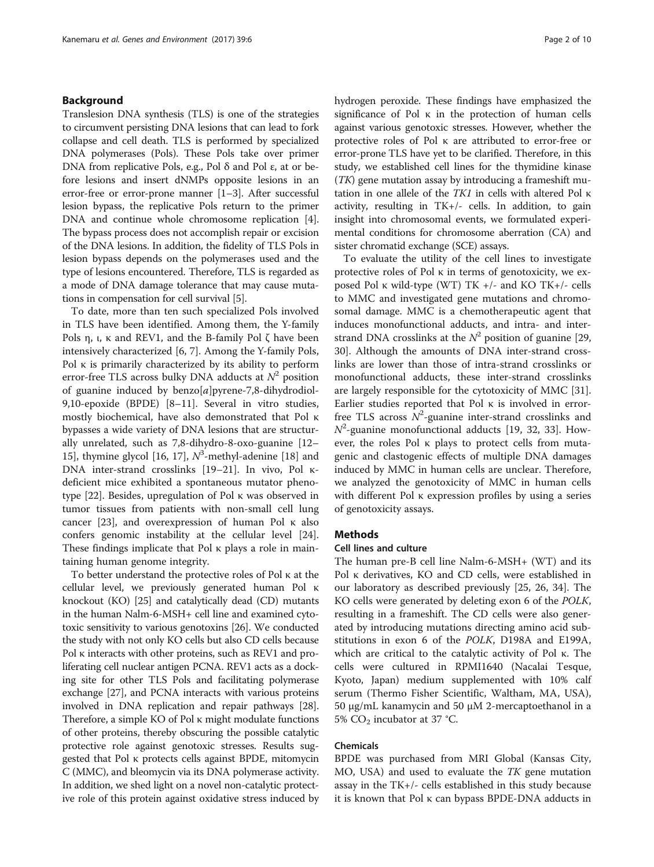## Background

Translesion DNA synthesis (TLS) is one of the strategies to circumvent persisting DNA lesions that can lead to fork collapse and cell death. TLS is performed by specialized DNA polymerases (Pols). These Pols take over primer DNA from replicative Pols, e.g., Pol δ and Pol  $ε$ , at or before lesions and insert dNMPs opposite lesions in an error-free or error-prone manner [\[1](#page-8-0)–[3\]](#page-8-0). After successful lesion bypass, the replicative Pols return to the primer DNA and continue whole chromosome replication [[4](#page-8-0)]. The bypass process does not accomplish repair or excision of the DNA lesions. In addition, the fidelity of TLS Pols in lesion bypass depends on the polymerases used and the type of lesions encountered. Therefore, TLS is regarded as a mode of DNA damage tolerance that may cause mutations in compensation for cell survival [\[5\]](#page-8-0).

To date, more than ten such specialized Pols involved in TLS have been identified. Among them, the Y-family Pols η, ι, κ and REV1, and the B-family Pol ζ have been intensively characterized [[6, 7\]](#page-8-0). Among the Y-family Pols, Pol κ is primarily characterized by its ability to perform error-free TLS across bulky DNA adducts at  $N^2$  position of guanine induced by  $benzo[a]pyrene-7,8-dihydrodiol-$ 9,10-epoxide (BPDE) [\[8](#page-8-0)–[11\]](#page-8-0). Several in vitro studies, mostly biochemical, have also demonstrated that Pol κ bypasses a wide variety of DNA lesions that are structurally unrelated, such as 7,8-dihydro-8-oxo-guanine [[12](#page-8-0)– [15\]](#page-8-0), thymine glycol [[16, 17\]](#page-8-0),  $N^3$ -methyl-adenine [\[18](#page-8-0)] and<br>DNA inter-strand crosslinks [19–21]. In vivo, Pol.  $\nu$ DNA inter-strand crosslinks [\[19](#page-8-0)–[21\]](#page-9-0). In vivo, Pol κdeficient mice exhibited a spontaneous mutator phenotype [\[22](#page-9-0)]. Besides, upregulation of Pol κ was observed in tumor tissues from patients with non-small cell lung cancer [[23\]](#page-9-0), and overexpression of human Pol κ also confers genomic instability at the cellular level [\[24](#page-9-0)]. These findings implicate that Pol κ plays a role in maintaining human genome integrity.

To better understand the protective roles of Pol κ at the cellular level, we previously generated human Pol κ knockout (KO) [[25](#page-9-0)] and catalytically dead (CD) mutants in the human Nalm-6-MSH+ cell line and examined cytotoxic sensitivity to various genotoxins [[26](#page-9-0)]. We conducted the study with not only KO cells but also CD cells because Pol κ interacts with other proteins, such as REV1 and proliferating cell nuclear antigen PCNA. REV1 acts as a docking site for other TLS Pols and facilitating polymerase exchange [\[27](#page-9-0)], and PCNA interacts with various proteins involved in DNA replication and repair pathways [[28](#page-9-0)]. Therefore, a simple KO of Pol κ might modulate functions of other proteins, thereby obscuring the possible catalytic protective role against genotoxic stresses. Results suggested that Pol κ protects cells against BPDE, mitomycin C (MMC), and bleomycin via its DNA polymerase activity. In addition, we shed light on a novel non-catalytic protective role of this protein against oxidative stress induced by hydrogen peroxide. These findings have emphasized the significance of Pol  $\kappa$  in the protection of human cells against various genotoxic stresses. However, whether the protective roles of Pol κ are attributed to error-free or error-prone TLS have yet to be clarified. Therefore, in this study, we established cell lines for the thymidine kinase (TK) gene mutation assay by introducing a frameshift mutation in one allele of the TK1 in cells with altered Pol <sup>κ</sup> activity, resulting in TK+/- cells. In addition, to gain insight into chromosomal events, we formulated experimental conditions for chromosome aberration (CA) and sister chromatid exchange (SCE) assays.

To evaluate the utility of the cell lines to investigate protective roles of Pol κ in terms of genotoxicity, we exposed Pol κ wild-type (WT) TK +/- and KO TK+/- cells to MMC and investigated gene mutations and chromosomal damage. MMC is a chemotherapeutic agent that induces monofunctional adducts, and intra- and interstrand DNA crosslinks at the  $N^2$  position of guanine [[29](#page-9-0), [30\]](#page-9-0). Although the amounts of DNA inter-strand crosslinks are lower than those of intra-strand crosslinks or monofunctional adducts, these inter-strand crosslinks are largely responsible for the cytotoxicity of MMC [\[31](#page-9-0)]. Earlier studies reported that Pol κ is involved in errorfree TLS across  $N^2$ -guanine inter-strand crosslinks and  $N^2$ -guanine monofunctional adducts [19, 32, 33]. However,  $N^2$ -guanine monofunctional adducts [[19,](#page-8-0) [32, 33\]](#page-9-0). However, the roles Pol κ plays to protect cells from mutagenic and clastogenic effects of multiple DNA damages induced by MMC in human cells are unclear. Therefore, we analyzed the genotoxicity of MMC in human cells with different Pol κ expression profiles by using a series of genotoxicity assays.

## **Methods**

#### Cell lines and culture

The human pre-B cell line Nalm-6-MSH+ (WT) and its Pol κ derivatives, KO and CD cells, were established in our laboratory as described previously [[25](#page-9-0), [26](#page-9-0), [34](#page-9-0)]. The KO cells were generated by deleting exon 6 of the POLK, resulting in a frameshift. The CD cells were also generated by introducing mutations directing amino acid substitutions in exon 6 of the POLK, D198A and E199A, which are critical to the catalytic activity of Pol κ. The cells were cultured in RPMI1640 (Nacalai Tesque, Kyoto, Japan) medium supplemented with 10% calf serum (Thermo Fisher Scientific, Waltham, MA, USA), 50 μg/mL kanamycin and 50 μM 2-mercaptoethanol in a 5%  $CO<sub>2</sub>$  incubator at 37 °C.

## Chemicals

BPDE was purchased from MRI Global (Kansas City, MO, USA) and used to evaluate the  $TK$  gene mutation assay in the TK+/- cells established in this study because it is known that Pol κ can bypass BPDE-DNA adducts in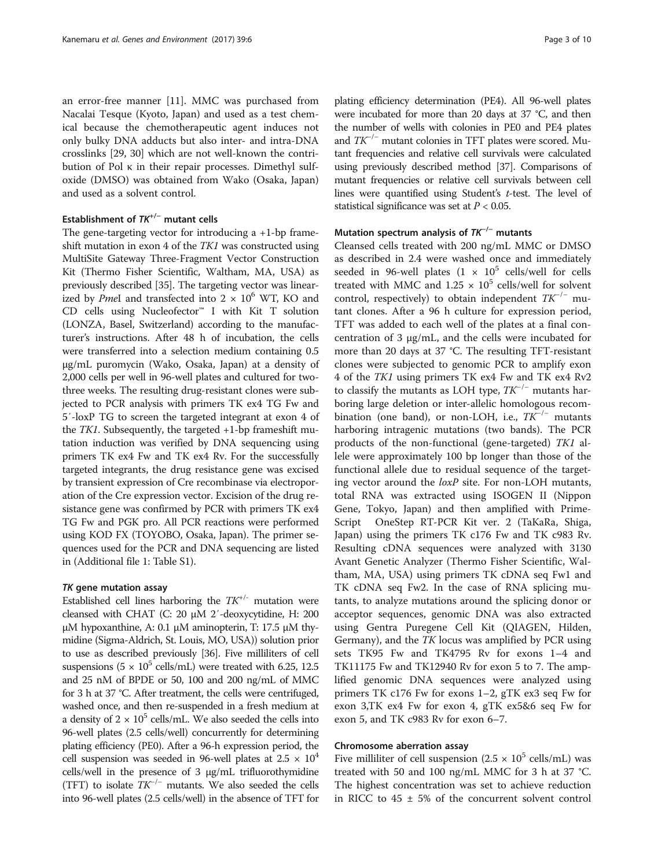an error-free manner [[11\]](#page-8-0). MMC was purchased from Nacalai Tesque (Kyoto, Japan) and used as a test chemical because the chemotherapeutic agent induces not only bulky DNA adducts but also inter- and intra-DNA crosslinks [\[29](#page-9-0), [30](#page-9-0)] which are not well-known the contribution of Pol κ in their repair processes. Dimethyl sulfoxide (DMSO) was obtained from Wako (Osaka, Japan) and used as a solvent control.

## Establishment of  $TK^{+/-}$  mutant cells

The gene-targeting vector for introducing  $a + 1$ -bp frameshift mutation in exon 4 of the TK1 was constructed using MultiSite Gateway Three-Fragment Vector Construction Kit (Thermo Fisher Scientific, Waltham, MA, USA) as previously described [\[35\]](#page-9-0). The targeting vector was linearized by PmeI and transfected into  $2 \times 10^6$  WT, KO and CD cells using Nucleofector™ I with Kit T solution (LONZA, Basel, Switzerland) according to the manufacturer's instructions. After 48 h of incubation, the cells were transferred into a selection medium containing 0.5 μg/mL puromycin (Wako, Osaka, Japan) at a density of 2,000 cells per well in 96-well plates and cultured for twothree weeks. The resulting drug-resistant clones were subjected to PCR analysis with primers TK ex4 TG Fw and 5′-loxP TG to screen the targeted integrant at exon 4 of the  $TK1$ . Subsequently, the targeted  $+1$ -bp frameshift mutation induction was verified by DNA sequencing using primers TK ex4 Fw and TK ex4 Rv. For the successfully targeted integrants, the drug resistance gene was excised by transient expression of Cre recombinase via electroporation of the Cre expression vector. Excision of the drug resistance gene was confirmed by PCR with primers TK ex4 TG Fw and PGK pro. All PCR reactions were performed using KOD FX (TOYOBO, Osaka, Japan). The primer sequences used for the PCR and DNA sequencing are listed in (Additional file [1:](#page-8-0) Table S1).

#### TK gene mutation assay

Established cell lines harboring the  $TK^{+/}$  mutation were cleansed with CHAT (C: 20 μM 2′-deoxycytidine, H: 200 μM hypoxanthine, A: 0.1 μM aminopterin, T: 17.5 μM thymidine (Sigma-Aldrich, St. Louis, MO, USA)) solution prior to use as described previously [\[36\]](#page-9-0). Five milliliters of cell suspensions  $(5 \times 10^5 \text{ cells/mL})$  were treated with 6.25, 12.5 and 25 nM of BPDE or 50, 100 and 200 ng/mL of MMC for 3 h at 37 °C. After treatment, the cells were centrifuged, washed once, and then re-suspended in a fresh medium at a density of  $2 \times 10^5$  cells/mL. We also seeded the cells into 96-well plates (2.5 cells/well) concurrently for determining plating efficiency (PE0). After a 96-h expression period, the cell suspension was seeded in 96-well plates at  $2.5 \times 10^4$ cells/well in the presence of 3 μg/mL trifluorothymidine (TFT) to isolate  $TK^{-/-}$  mutants. We also seeded the cells into 96-well plates (2.5 cells/well) in the absence of TFT for

plating efficiency determination (PE4). All 96-well plates were incubated for more than 20 days at 37 °C, and then the number of wells with colonies in PE0 and PE4 plates and TK−/<sup>−</sup> mutant colonies in TFT plates were scored. Mutant frequencies and relative cell survivals were calculated using previously described method [\[37](#page-9-0)]. Comparisons of mutant frequencies or relative cell survivals between cell lines were quantified using Student'<sup>s</sup> t-test. The level of statistical significance was set at  $P < 0.05$ .

## Mutation spectrum analysis of  $TK^{-/-}$  mutants

Cleansed cells treated with 200 ng/mL MMC or DMSO as described in 2.4 were washed once and immediately seeded in 96-well plates  $(1 \times 10^5 \text{ cells/well}$  for cells treated with MMC and  $1.25 \times 10^5$  cells/well for solvent control, respectively) to obtain independent  $TK^{-/-}$  mutant clones. After a 96 h culture for expression period, TFT was added to each well of the plates at a final concentration of 3 μg/mL, and the cells were incubated for more than 20 days at 37 °C. The resulting TFT-resistant clones were subjected to genomic PCR to amplify exon 4 of the TK1 using primers TK ex4 Fw and TK ex4 Rv2 to classify the mutants as LOH type,  $TK^{-/-}$  mutants harboring large deletion or inter-allelic homologous recombination (one band), or non-LOH, i.e.,  $TK^{-/-}$  mutants harboring intragenic mutations (two bands). The PCR products of the non-functional (gene-targeted) TK1 allele were approximately 100 bp longer than those of the functional allele due to residual sequence of the targeting vector around the loxP site. For non-LOH mutants, total RNA was extracted using ISOGEN II (Nippon Gene, Tokyo, Japan) and then amplified with Prime-Script OneStep RT-PCR Kit ver. 2 (TaKaRa, Shiga, Japan) using the primers TK c176 Fw and TK c983 Rv. Resulting cDNA sequences were analyzed with 3130 Avant Genetic Analyzer (Thermo Fisher Scientific, Waltham, MA, USA) using primers TK cDNA seq Fw1 and TK cDNA seq Fw2. In the case of RNA splicing mutants, to analyze mutations around the splicing donor or acceptor sequences, genomic DNA was also extracted using Gentra Puregene Cell Kit (QIAGEN, Hilden, Germany), and the  $TK$  locus was amplified by PCR using sets TK95 Fw and TK4795 Rv for exons 1–4 and TK11175 Fw and TK12940 Rv for exon 5 to 7. The amplified genomic DNA sequences were analyzed using primers TK c176 Fw for exons 1–2, gTK ex3 seq Fw for exon 3,TK ex4 Fw for exon 4, gTK ex5&6 seq Fw for exon 5, and TK c983 Rv for exon 6–7.

## Chromosome aberration assay

Five milliliter of cell suspension  $(2.5 \times 10^5 \text{ cells/mL})$  was treated with 50 and 100 ng/mL MMC for 3 h at 37 °C. The highest concentration was set to achieve reduction in RICC to  $45 \pm 5\%$  of the concurrent solvent control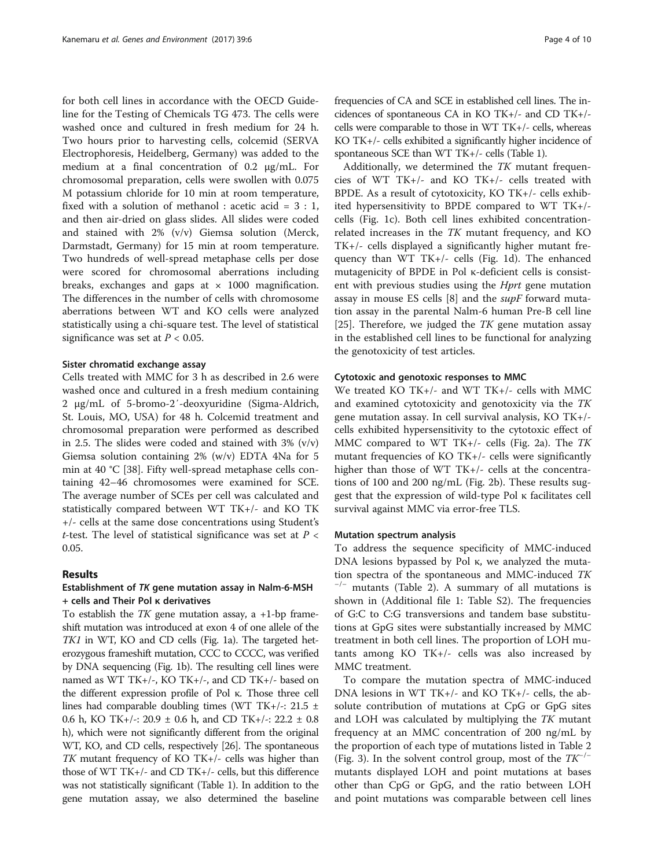for both cell lines in accordance with the OECD Guideline for the Testing of Chemicals TG 473. The cells were washed once and cultured in fresh medium for 24 h. Two hours prior to harvesting cells, colcemid (SERVA Electrophoresis, Heidelberg, Germany) was added to the medium at a final concentration of 0.2 μg/mL. For chromosomal preparation, cells were swollen with 0.075 M potassium chloride for 10 min at room temperature, fixed with a solution of methanol : acetic acid =  $3:1$ , and then air-dried on glass slides. All slides were coded and stained with 2% (v/v) Giemsa solution (Merck, Darmstadt, Germany) for 15 min at room temperature. Two hundreds of well-spread metaphase cells per dose were scored for chromosomal aberrations including breaks, exchanges and gaps at  $\times$  1000 magnification. The differences in the number of cells with chromosome aberrations between WT and KO cells were analyzed statistically using a chi-square test. The level of statistical significance was set at  $P < 0.05$ .

#### Sister chromatid exchange assay

Cells treated with MMC for 3 h as described in 2.6 were washed once and cultured in a fresh medium containing 2 μg/mL of 5-bromo-2′-deoxyuridine (Sigma-Aldrich, St. Louis, MO, USA) for 48 h. Colcemid treatment and chromosomal preparation were performed as described in 2.5. The slides were coded and stained with 3% (v/v) Giemsa solution containing 2% (w/v) EDTA 4Na for 5 min at 40 °C [\[38](#page-9-0)]. Fifty well-spread metaphase cells containing 42–46 chromosomes were examined for SCE. The average number of SCEs per cell was calculated and statistically compared between WT TK+/- and KO TK +/- cells at the same dose concentrations using Student's t-test. The level of statistical significance was set at  $P <$ 0.05.

## Results

## Establishment of TK gene mutation assay in Nalm-6-MSH + cells and Their Pol κ derivatives

To establish the TK gene mutation assay, a  $+1$ -bp frameshift mutation was introduced at exon 4 of one allele of the TK1 in WT, KO and CD cells (Fig. [1a\)](#page-4-0). The targeted heterozygous frameshift mutation, CCC to CCCC, was verified by DNA sequencing (Fig. [1b](#page-4-0)). The resulting cell lines were named as WT TK+/-, KO TK+/-, and CD TK+/- based on the different expression profile of Pol κ. Those three cell lines had comparable doubling times (WT TK+/-:  $21.5 \pm$ 0.6 h, KO TK+/-: 20.9  $\pm$  0.6 h, and CD TK+/-: 22.2  $\pm$  0.8 h), which were not significantly different from the original WT, KO, and CD cells, respectively [[26](#page-9-0)]. The spontaneous TK mutant frequency of KO TK+/- cells was higher than those of WT TK+/- and CD TK+/- cells, but this difference was not statistically significant (Table [1\)](#page-4-0). In addition to the gene mutation assay, we also determined the baseline frequencies of CA and SCE in established cell lines. The incidences of spontaneous CA in KO TK+/- and CD TK+/ cells were comparable to those in WT TK+/- cells, whereas KO TK+/- cells exhibited a significantly higher incidence of spontaneous SCE than WT TK+/- cells (Table [1](#page-4-0)).

Additionally, we determined the TK mutant frequencies of WT TK+/- and KO TK+/- cells treated with BPDE. As a result of cytotoxicity, KO TK+/- cells exhibited hypersensitivity to BPDE compared to WT TK+/ cells (Fig. [1c](#page-4-0)). Both cell lines exhibited concentrationrelated increases in the TK mutant frequency, and KO TK+/- cells displayed a significantly higher mutant frequency than WT TK+/- cells (Fig. [1d\)](#page-4-0). The enhanced mutagenicity of BPDE in Pol κ-deficient cells is consistent with previous studies using the *Hprt* gene mutation assay in mouse ES cells [\[8](#page-8-0)] and the supF forward mutation assay in the parental Nalm-6 human Pre-B cell line [[25\]](#page-9-0). Therefore, we judged the  $TK$  gene mutation assay in the established cell lines to be functional for analyzing the genotoxicity of test articles.

#### Cytotoxic and genotoxic responses to MMC

We treated KO TK+/- and WT TK+/- cells with MMC and examined cytotoxicity and genotoxicity via the TK gene mutation assay. In cell survival analysis, KO TK+/ cells exhibited hypersensitivity to the cytotoxic effect of MMC compared to WT TK+/- cells (Fig. [2a](#page-5-0)). The TK mutant frequencies of KO TK+/- cells were significantly higher than those of WT TK+/- cells at the concentrations of 100 and 200 ng/mL (Fig. [2b\)](#page-5-0). These results suggest that the expression of wild-type Pol κ facilitates cell survival against MMC via error-free TLS.

#### Mutation spectrum analysis

To address the sequence specificity of MMC-induced DNA lesions bypassed by Pol κ, we analyzed the mutation spectra of the spontaneous and MMC-induced TK  $^{-/-}$  mutants (Table [2](#page-5-0)). A summary of all mutations is shown in (Additional file [1:](#page-8-0) Table S2). The frequencies of G:C to C:G transversions and tandem base substitutions at GpG sites were substantially increased by MMC treatment in both cell lines. The proportion of LOH mutants among KO TK+/- cells was also increased by MMC treatment.

To compare the mutation spectra of MMC-induced DNA lesions in WT TK+/- and KO TK+/- cells, the absolute contribution of mutations at CpG or GpG sites and LOH was calculated by multiplying the  $TK$  mutant frequency at an MMC concentration of 200 ng/mL by the proportion of each type of mutations listed in Table [2](#page-5-0) (Fig. [3\)](#page-6-0). In the solvent control group, most of the  $TK^{-/-}$ mutants displayed LOH and point mutations at bases other than CpG or GpG, and the ratio between LOH and point mutations was comparable between cell lines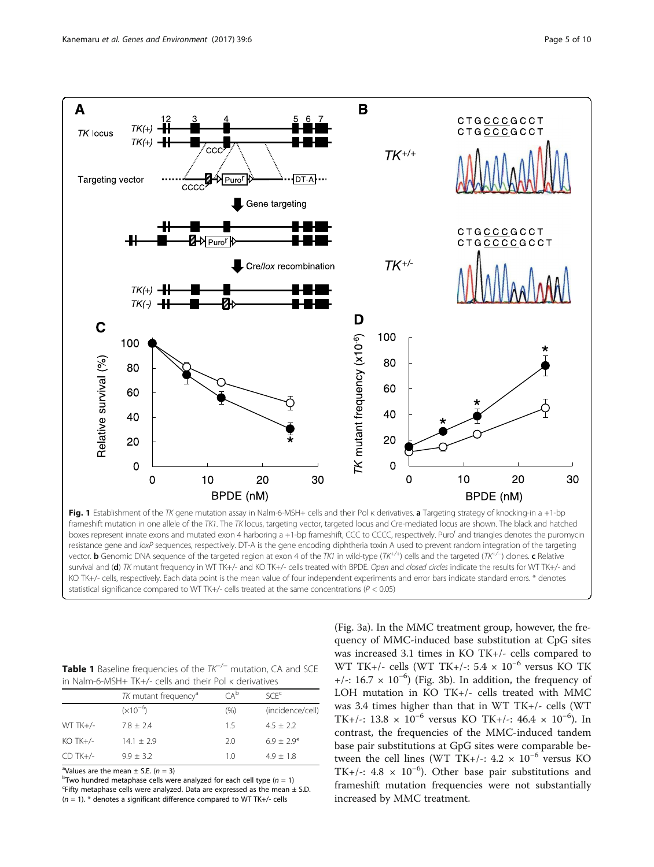<span id="page-4-0"></span>

Fig. 1 Establishment of the TK gene mutation assay in Nalm-6-MSH+ cells and their Pol k derivatives. a Targeting strategy of knocking-in a +1-bp frameshift mutation in one allele of the TK1. The TK locus, targeting vector, targeted locus and Cre-mediated locus are shown. The black and hatched boxes represent innate exons and mutated exon 4 harboring a +1-bp frameshift, CCC to CCCC, respectively. Puro<sup>r</sup> and triangles denotes the puromycin resistance gene and loxP sequences, respectively. DT-A is the gene encoding diphtheria toxin A used to prevent random integration of the targeting vector. **b** Genomic DNA sequence of the targeted region at exon 4 of the TK1 in wild-type (TK<sup>+/+</sup>) cells and the targeted (TK<sup>+/−</sup>) clones. c Relative survival and (d) TK mutant frequency in WT TK+/- and KO TK+/- cells treated with BPDE. Open and closed circles indicate the results for WT TK+/- and KO TK+/- cells, respectively. Each data point is the mean value of four independent experiments and error bars indicate standard errors. \* denotes statistical significance compared to WT TK+/- cells treated at the same concentrations ( $P < 0.05$ )

| <b>Table 1</b> Baseline frequencies of the $TK^{-/-}$ mutation, CA and SCE |  |
|----------------------------------------------------------------------------|--|
| in Nalm-6-MSH+ $TK+/$ - cells and their Pol $\kappa$ derivatives           |  |

|            | TK mutant frequency <sup>a</sup> | $CA^b$ | SCF <sup>c</sup> |
|------------|----------------------------------|--------|------------------|
|            | $(x10^{-6})$                     | (9/6)  | (incidence/cell) |
| $WT TK+/-$ | $7.8 + 2.4$                      | 15     | $4.5 + 2.2$      |
| $KO$ TK+/- | $14.1 + 2.9$                     | 20     | $6.9 + 2.9*$     |
| $CDTK+/-$  | $9.9 + 3.2$                      | 10     | $4.9 + 1.8$      |

<sup>a</sup>Values are the mean  $\pm$  S.E. (*n* = 3)<br><sup>b</sup>Two bundred metaphase sells we

<sup>b</sup>Two hundred metaphase cells were analyzed for each cell type ( $n = 1$ ) Fifty metaphase cells were analyzed. Data are expressed as the mean  $\pm$  S.D.  $(n = 1)$ . \* denotes a significant difference compared to WT TK+/- cells

(Fig. [3a\)](#page-6-0). In the MMC treatment group, however, the frequency of MMC-induced base substitution at CpG sites was increased 3.1 times in KO TK+/- cells compared to WT TK+/- cells (WT TK+/-:  $5.4 \times 10^{-6}$  versus KO TK +/-:  $16.7 \times 10^{-6}$ ) (Fig. [3b](#page-6-0)). In addition, the frequency of LOH mutation in KO TK+/- cells treated with MMC was 3.4 times higher than that in WT TK+/- cells (WT TK+/-: 13.8 ×  $10^{-6}$  versus KO TK+/-: 46.4 × 10<sup>-6</sup>). In contrast, the frequencies of the MMC-induced tandem base pair substitutions at GpG sites were comparable between the cell lines (WT TK+/-:  $4.2 \times 10^{-6}$  versus KO TK+/-:  $4.8 \times 10^{-6}$ ). Other base pair substitutions and frameshift mutation frequencies were not substantially increased by MMC treatment.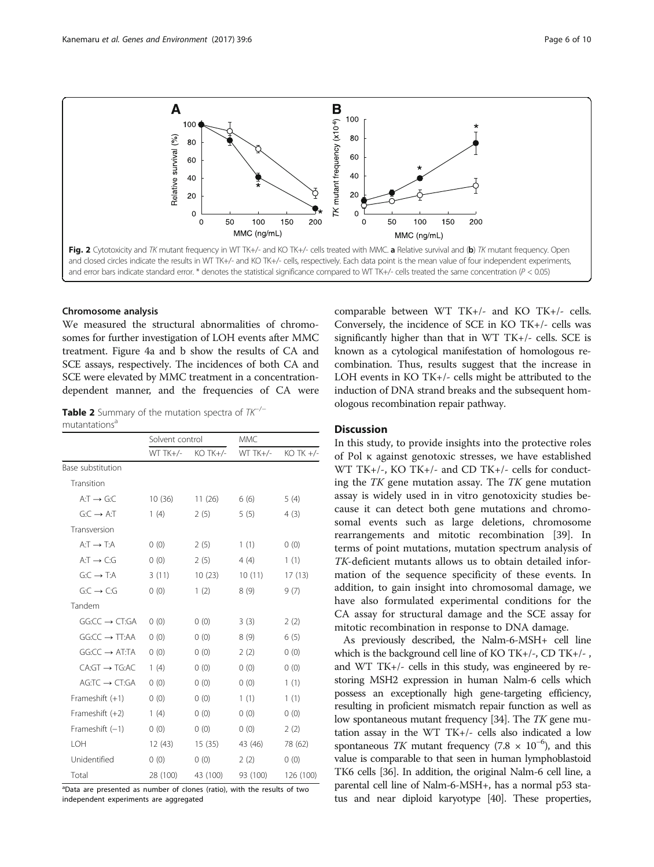<span id="page-5-0"></span>

## Chromosome analysis

We measured the structural abnormalities of chromosomes for further investigation of LOH events after MMC treatment. Figure [4a and b](#page-6-0) show the results of CA and SCE assays, respectively. The incidences of both CA and SCE were elevated by MMC treatment in a concentrationdependent manner, and the frequencies of CA were

Table 2 Summary of the mutation spectra of  $TK^{-/-}$ mutantations<sup>a</sup>

|                                                     | Solvent control |            | MMC.     |             |
|-----------------------------------------------------|-----------------|------------|----------|-------------|
|                                                     | WT TK+/-        | $KO$ TK+/- | WT TK+/- | KO TK $+/-$ |
| Base substitution                                   |                 |            |          |             |
| Transition                                          |                 |            |          |             |
| $A:\mathsf{T}\longrightarrow G:\mathsf{C}$          | 10(36)          | 11(26)     | 6(6)     | 5(4)        |
| $G: C \longrightarrow A: T$                         | 1(4)            | 2(5)       | 5(5)     | 4(3)        |
| Transversion                                        |                 |            |          |             |
| $A:\mathsf{T}\longrightarrow \mathsf{T}:\mathsf{A}$ | 0(0)            | 2(5)       | 1(1)     | 0(0)        |
| $A:\mathsf{T}\longrightarrow C:\mathsf{G}$          | 0(0)            | 2(5)       | 4(4)     | 1(1)        |
| $G: C \longrightarrow T:A$                          | 3(11)           | 10(23)     | 10(11)   | 17(13)      |
| $G: C \rightarrow C: G$                             | 0(0)            | 1(2)       | 8(9)     | 9(7)        |
| Tandem                                              |                 |            |          |             |
| $GG:CC \rightarrow CT:GA$                           | 0(0)            | 0(0)       | 3(3)     | 2(2)        |
| $GG:CC \rightarrow TT:AA$                           | 0(0)            | 0(0)       | 8(9)     | 6(5)        |
| $GG:CC \rightarrow AT:TA$                           | 0(0)            | 0(0)       | 2(2)     | 0(0)        |
| $CA:GT \rightarrow TG:AC$                           | 1(4)            | 0(0)       | 0(0)     | 0(0)        |
| $AG:TC \rightarrow CT:GA$                           | 0(0)            | 0(0)       | 0(0)     | 1(1)        |
| Frameshift (+1)                                     | 0(0)            | 0(0)       | 1(1)     | 1(1)        |
| Frameshift (+2)                                     | 1(4)            | 0(0)       | 0(0)     | 0(0)        |
| Frameshift $(-1)$                                   | 0(0)            | 0(0)       | 0(0)     | 2(2)        |
| LOH                                                 | 12(43)          | 15(35)     | 43 (46)  | 78 (62)     |
| Unidentified                                        | 0(0)            | 0(0)       | 2(2)     | 0(0)        |
| Total                                               | 28 (100)        | 43 (100)   | 93 (100) | 126 (100)   |

<sup>a</sup>Data are presented as number of clones (ratio), with the results of two independent experiments are aggregated

comparable between WT TK+/- and KO TK+/- cells. Conversely, the incidence of SCE in KO TK+/- cells was significantly higher than that in WT TK+/- cells. SCE is known as a cytological manifestation of homologous recombination. Thus, results suggest that the increase in LOH events in KO TK+/- cells might be attributed to the induction of DNA strand breaks and the subsequent homologous recombination repair pathway.

#### **Discussion**

In this study, to provide insights into the protective roles of Pol κ against genotoxic stresses, we have established WT TK+/-, KO TK+/- and CD TK+/- cells for conducting the  $TK$  gene mutation assay. The  $TK$  gene mutation assay is widely used in in vitro genotoxicity studies because it can detect both gene mutations and chromosomal events such as large deletions, chromosome rearrangements and mitotic recombination [[39\]](#page-9-0). In terms of point mutations, mutation spectrum analysis of TK-deficient mutants allows us to obtain detailed information of the sequence specificity of these events. In addition, to gain insight into chromosomal damage, we have also formulated experimental conditions for the CA assay for structural damage and the SCE assay for mitotic recombination in response to DNA damage.

As previously described, the Nalm-6-MSH+ cell line which is the background cell line of KO TK+/-, CD TK+/- , and WT TK+/- cells in this study, was engineered by restoring MSH2 expression in human Nalm-6 cells which possess an exceptionally high gene-targeting efficiency, resulting in proficient mismatch repair function as well as low spontaneous mutant frequency [[34](#page-9-0)]. The TK gene mutation assay in the WT TK+/- cells also indicated a low spontaneous *TK* mutant frequency  $(7.8 \times 10^{-6})$ , and this value is comparable to that seen in human lymphoblastoid value is comparable to that seen in human lymphoblastoid TK6 cells [[36](#page-9-0)]. In addition, the original Nalm-6 cell line, a parental cell line of Nalm-6-MSH+, has a normal p53 status and near diploid karyotype [[40](#page-9-0)]. These properties,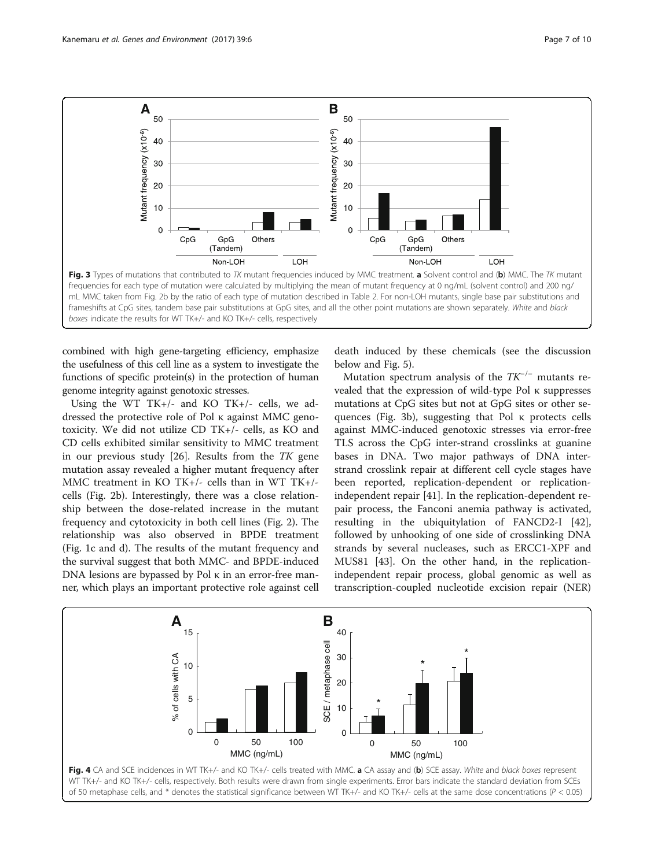<span id="page-6-0"></span>

combined with high gene-targeting efficiency, emphasize the usefulness of this cell line as a system to investigate the functions of specific protein(s) in the protection of human genome integrity against genotoxic stresses.

Using the WT TK+/- and KO TK+/- cells, we addressed the protective role of Pol κ against MMC genotoxicity. We did not utilize CD TK+/- cells, as KO and CD cells exhibited similar sensitivity to MMC treatment in our previous study [[26\]](#page-9-0). Results from the TK gene mutation assay revealed a higher mutant frequency after MMC treatment in KO TK+/- cells than in WT TK+/ cells (Fig. [2b\)](#page-5-0). Interestingly, there was a close relationship between the dose-related increase in the mutant frequency and cytotoxicity in both cell lines (Fig. [2\)](#page-5-0). The relationship was also observed in BPDE treatment (Fig. [1c and d\)](#page-4-0). The results of the mutant frequency and the survival suggest that both MMC- and BPDE-induced DNA lesions are bypassed by Pol κ in an error-free manner, which plays an important protective role against cell

death induced by these chemicals (see the discussion below and Fig. [5](#page-7-0)).

Mutation spectrum analysis of the  $TK^{-/-}$  mutants revealed that the expression of wild-type Pol κ suppresses mutations at CpG sites but not at GpG sites or other sequences (Fig. 3b), suggesting that Pol κ protects cells against MMC-induced genotoxic stresses via error-free TLS across the CpG inter-strand crosslinks at guanine bases in DNA. Two major pathways of DNA interstrand crosslink repair at different cell cycle stages have been reported, replication-dependent or replicationindependent repair [[41](#page-9-0)]. In the replication-dependent repair process, the Fanconi anemia pathway is activated, resulting in the ubiquitylation of FANCD2-I [\[42](#page-9-0)], followed by unhooking of one side of crosslinking DNA strands by several nucleases, such as ERCC1-XPF and MUS81 [[43\]](#page-9-0). On the other hand, in the replicationindependent repair process, global genomic as well as transcription-coupled nucleotide excision repair (NER)

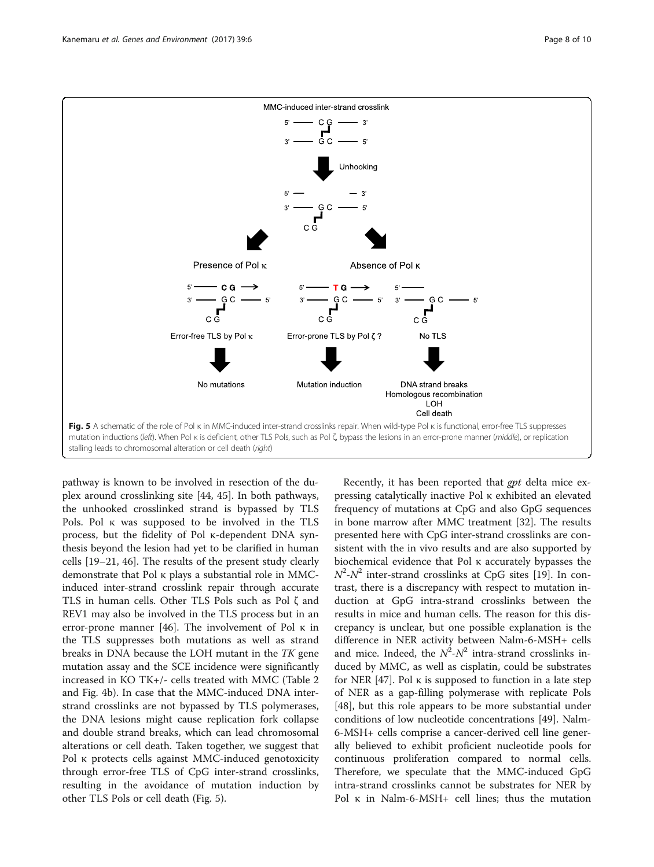<span id="page-7-0"></span>

pathway is known to be involved in resection of the duplex around crosslinking site [\[44](#page-9-0), [45\]](#page-9-0). In both pathways, the unhooked crosslinked strand is bypassed by TLS Pols. Pol κ was supposed to be involved in the TLS process, but the fidelity of Pol κ-dependent DNA synthesis beyond the lesion had yet to be clarified in human cells [[19](#page-8-0)–[21](#page-9-0), [46](#page-9-0)]. The results of the present study clearly demonstrate that Pol κ plays a substantial role in MMCinduced inter-strand crosslink repair through accurate TLS in human cells. Other TLS Pols such as Pol ζ and REV1 may also be involved in the TLS process but in an error-prone manner [\[46\]](#page-9-0). The involvement of Pol κ in the TLS suppresses both mutations as well as strand breaks in DNA because the LOH mutant in the TK gene mutation assay and the SCE incidence were significantly increased in KO TK+/- cells treated with MMC (Table [2](#page-5-0) and Fig. [4b\)](#page-6-0). In case that the MMC-induced DNA interstrand crosslinks are not bypassed by TLS polymerases, the DNA lesions might cause replication fork collapse and double strand breaks, which can lead chromosomal alterations or cell death. Taken together, we suggest that Pol κ protects cells against MMC-induced genotoxicity through error-free TLS of CpG inter-strand crosslinks, resulting in the avoidance of mutation induction by other TLS Pols or cell death (Fig. 5).

Recently, it has been reported that gpt delta mice expressing catalytically inactive Pol κ exhibited an elevated frequency of mutations at CpG and also GpG sequences in bone marrow after MMC treatment [\[32\]](#page-9-0). The results presented here with CpG inter-strand crosslinks are consistent with the in vivo results and are also supported by biochemical evidence that Pol κ accurately bypasses the  $N^2$ - $N^2$  inter-strand crosslinks at CpG sites [[19](#page-8-0)]. In con-<br>tract, there is a discrepancy with respect to mutation intrast, there is a discrepancy with respect to mutation induction at GpG intra-strand crosslinks between the results in mice and human cells. The reason for this discrepancy is unclear, but one possible explanation is the difference in NER activity between Nalm-6-MSH+ cells and mice. Indeed, the  $N^2$ - $N^2$  intra-strand crosslinks in-<br>duced by MMC as well as cisplatin, could be substrated duced by MMC, as well as cisplatin, could be substrates for NER [[47](#page-9-0)]. Pol  $\kappa$  is supposed to function in a late step of NER as a gap-filling polymerase with replicate Pols [[48\]](#page-9-0), but this role appears to be more substantial under conditions of low nucleotide concentrations [[49\]](#page-9-0). Nalm-6-MSH+ cells comprise a cancer-derived cell line generally believed to exhibit proficient nucleotide pools for continuous proliferation compared to normal cells. Therefore, we speculate that the MMC-induced GpG intra-strand crosslinks cannot be substrates for NER by Pol κ in Nalm-6-MSH+ cell lines; thus the mutation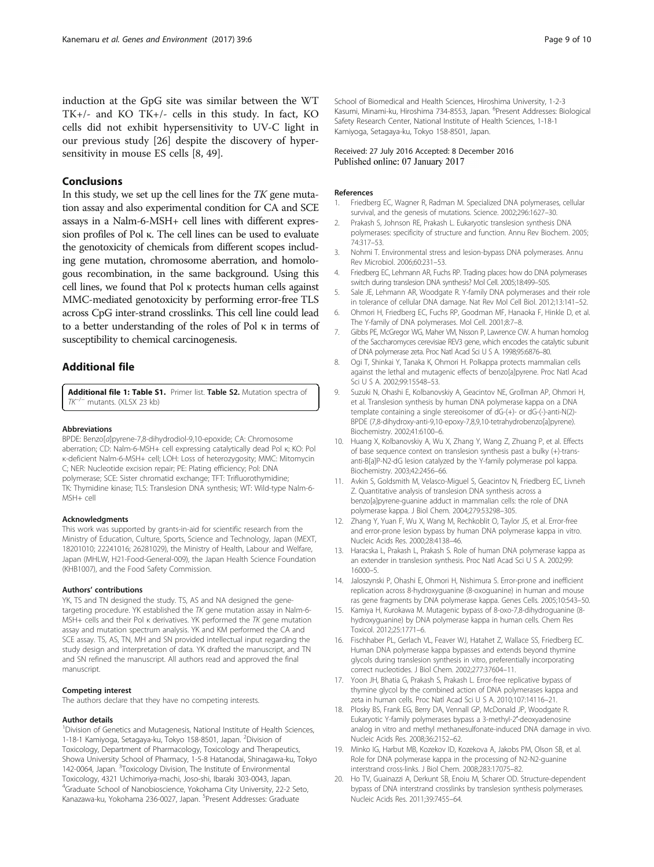#### <span id="page-8-0"></span>Conclusions

In this study, we set up the cell lines for the  $TK$  gene mutation assay and also experimental condition for CA and SCE assays in a Nalm-6-MSH+ cell lines with different expression profiles of Pol κ. The cell lines can be used to evaluate the genotoxicity of chemicals from different scopes including gene mutation, chromosome aberration, and homologous recombination, in the same background. Using this cell lines, we found that Pol κ protects human cells against MMC-mediated genotoxicity by performing error-free TLS across CpG inter-strand crosslinks. This cell line could lead to a better understanding of the roles of Pol κ in terms of susceptibility to chemical carcinogenesis.

### Additional file

[Additional file 1: Table S1.](dx.doi.org/10.1186/s41021-016-0067-3) Primer list. Table S2. Mutation spectra of  $TK^{-/-}$  mutants. (XLSX 23 kb)

#### Abbreviations

BPDE: Benzo[a]pyrene-7,8-dihydrodiol-9,10-epoxide; CA: Chromosome aberration; CD: Nalm-6-MSH+ cell expressing catalytically dead Pol κ; KO: Pol κ-deficient Nalm-6-MSH+ cell; LOH: Loss of heterozygosity; MMC: Mitomycin C; NER: Nucleotide excision repair; PE: Plating efficiency; Pol: DNA polymerase; SCE: Sister chromatid exchange; TFT: Trifluorothymidine; TK: Thymidine kinase; TLS: Translesion DNA synthesis; WT: Wild-type Nalm-6- MSH+ cell

#### Acknowledgments

This work was supported by grants-in-aid for scientific research from the Ministry of Education, Culture, Sports, Science and Technology, Japan (MEXT, 18201010; 22241016; 26281029), the Ministry of Health, Labour and Welfare, Japan (MHLW, H21-Food-General-009), the Japan Health Science Foundation (KHB1007), and the Food Safety Commission.

#### Authors' contributions

YK, TS and TN designed the study. TS, AS and NA designed the genetargeting procedure. YK established the TK gene mutation assay in Nalm-6-MSH+ cells and their Pol κ derivatives. YK performed the TK gene mutation assay and mutation spectrum analysis. YK and KM performed the CA and SCE assay. TS, AS, TN, MH and SN provided intellectual input regarding the study design and interpretation of data. YK drafted the manuscript, and TN and SN refined the manuscript. All authors read and approved the final manuscript.

#### Competing interest

The authors declare that they have no competing interests.

#### Author details

<sup>1</sup> Division of Genetics and Mutagenesis, National Institute of Health Sciences, 1-18-1 Kamiyoga, Setagaya-ku, Tokyo 158-8501, Japan. <sup>2</sup>Division of Toxicology, Department of Pharmacology, Toxicology and Therapeutics, Showa University School of Pharmacy, 1-5-8 Hatanodai, Shinagawa-ku, Tokyo 142-0064, Japan. <sup>3</sup>Toxicology Division, The Institute of Environmental Toxicology, 4321 Uchimoriya-machi, Joso-shi, Ibaraki 303-0043, Japan. 4 Graduate School of Nanobioscience, Yokohama City University, 22-2 Seto, Kanazawa-ku, Yokohama 236-0027, Japan. <sup>5</sup>Present Addresses: Graduate

School of Biomedical and Health Sciences, Hiroshima University, 1-2-3 Kasumi, Minami-ku, Hiroshima 734-8553, Japan. <sup>6</sup>Present Addresses: Biological Safety Research Center, National Institute of Health Sciences, 1-18-1 Kamiyoga, Setagaya-ku, Tokyo 158-8501, Japan.

#### Received: 27 July 2016 Accepted: 8 December 2016 Published online: 07 January 2017

#### References

- 1. Friedberg EC, Wagner R, Radman M. Specialized DNA polymerases, cellular survival, and the genesis of mutations. Science. 2002;296:1627–30.
- 2. Prakash S, Johnson RE, Prakash L. Eukaryotic translesion synthesis DNA polymerases: specificity of structure and function. Annu Rev Biochem. 2005; 74:317–53.
- 3. Nohmi T. Environmental stress and lesion-bypass DNA polymerases. Annu Rev Microbiol. 2006;60:231–53.
- 4. Friedberg EC, Lehmann AR, Fuchs RP. Trading places: how do DNA polymerases switch during translesion DNA synthesis? Mol Cell. 2005;18:499–505.
- 5. Sale JE, Lehmann AR, Woodgate R. Y-family DNA polymerases and their role in tolerance of cellular DNA damage. Nat Rev Mol Cell Biol. 2012;13:141–52.
- 6. Ohmori H, Friedberg EC, Fuchs RP, Goodman MF, Hanaoka F, Hinkle D, et al. The Y-family of DNA polymerases. Mol Cell. 2001;8:7–8.
- 7. Gibbs PE, McGregor WG, Maher VM, Nisson P, Lawrence CW. A human homolog of the Saccharomyces cerevisiae REV3 gene, which encodes the catalytic subunit of DNA polymerase zeta. Proc Natl Acad Sci U S A. 1998;95:6876–80.
- 8. Ogi T, Shinkai Y, Tanaka K, Ohmori H. Polkappa protects mammalian cells against the lethal and mutagenic effects of benzo[a]pyrene. Proc Natl Acad Sci U S A. 2002;99:15548–53.
- 9. Suzuki N, Ohashi E, Kolbanovskiy A, Geacintov NE, Grollman AP, Ohmori H, et al. Translesion synthesis by human DNA polymerase kappa on a DNA template containing a single stereoisomer of dG-(+)- or dG-(-)-anti-N(2)- BPDE (7,8-dihydroxy-anti-9,10-epoxy-7,8,9,10-tetrahydrobenzo[a]pyrene). Biochemistry. 2002;41:6100–6.
- 10. Huang X, Kolbanovskiy A, Wu X, Zhang Y, Wang Z, Zhuang P, et al. Effects of base sequence context on translesion synthesis past a bulky (+)-transanti-B[a]P-N2-dG lesion catalyzed by the Y-family polymerase pol kappa. Biochemistry. 2003;42:2456–66.
- 11. Avkin S, Goldsmith M, Velasco-Miguel S, Geacintov N, Friedberg EC, Livneh Z. Quantitative analysis of translesion DNA synthesis across a benzo[a]pyrene-guanine adduct in mammalian cells: the role of DNA polymerase kappa. J Biol Chem. 2004;279:53298–305.
- 12. Zhang Y, Yuan F, Wu X, Wang M, Rechkoblit O, Taylor JS, et al. Error-free and error-prone lesion bypass by human DNA polymerase kappa in vitro. Nucleic Acids Res. 2000;28:4138–46.
- 13. Haracska L, Prakash L, Prakash S. Role of human DNA polymerase kappa as an extender in translesion synthesis. Proc Natl Acad Sci U S A. 2002;99: 16000–5.
- 14. Jaloszynski P, Ohashi E, Ohmori H, Nishimura S. Error-prone and inefficient replication across 8-hydroxyguanine (8-oxoguanine) in human and mouse ras gene fragments by DNA polymerase kappa. Genes Cells. 2005;10:543–50.
- 15. Kamiya H, Kurokawa M. Mutagenic bypass of 8-oxo-7,8-dihydroguanine (8 hydroxyguanine) by DNA polymerase kappa in human cells. Chem Res Toxicol. 2012;25:1771–6.
- 16. Fischhaber PL, Gerlach VL, Feaver WJ, Hatahet Z, Wallace SS, Friedberg EC. Human DNA polymerase kappa bypasses and extends beyond thymine glycols during translesion synthesis in vitro, preferentially incorporating correct nucleotides. J Biol Chem. 2002;277:37604–11.
- 17. Yoon JH, Bhatia G, Prakash S, Prakash L. Error-free replicative bypass of thymine glycol by the combined action of DNA polymerases kappa and zeta in human cells. Proc Natl Acad Sci U S A. 2010;107:14116–21.
- 18. Plosky BS, Frank EG, Berry DA, Vennall GP, McDonald JP, Woodgate R. Eukaryotic Y-family polymerases bypass a 3-methyl-2′-deoxyadenosine analog in vitro and methyl methanesulfonate-induced DNA damage in vivo. Nucleic Acids Res. 2008;36:2152–62.
- 19. Minko IG, Harbut MB, Kozekov ID, Kozekova A, Jakobs PM, Olson SB, et al. Role for DNA polymerase kappa in the processing of N2-N2-guanine interstrand cross-links. J Biol Chem. 2008;283:17075–82.
- 20. Ho TV, Guainazzi A, Derkunt SB, Enoiu M, Scharer OD. Structure-dependent bypass of DNA interstrand crosslinks by translesion synthesis polymerases. Nucleic Acids Res. 2011;39:7455–64.